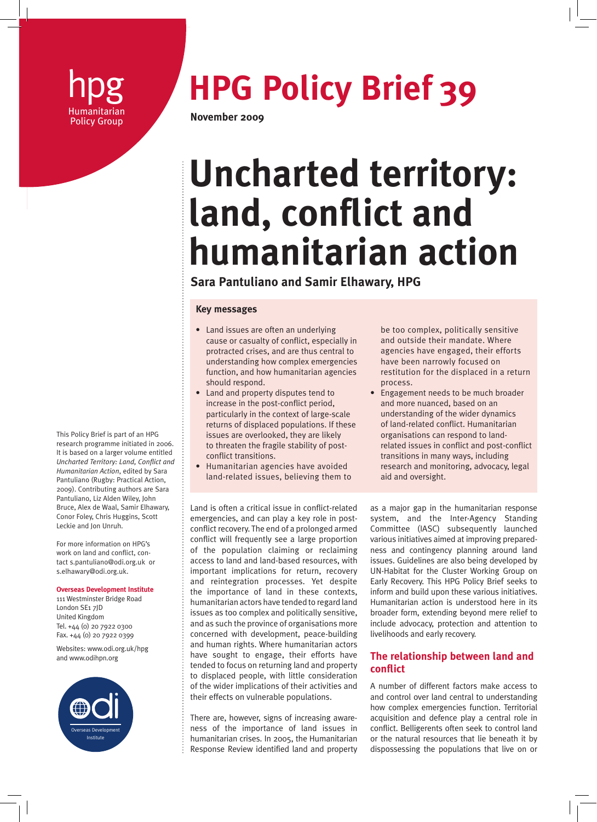# Policy Group **November 2009**

# **hpg 7 HPG Policy Brief 39**

# **Uncharted territory: land, conflict and humanitarian action**

## **Sara Pantuliano and Samir Elhawary, HPG**

#### **Key messages**

- Land issues are often an underlying cause or casualty of conflict, especially in protracted crises, and are thus central to understanding how complex emergencies function, and how humanitarian agencies should respond.
- Land and property disputes tend to increase in the post-conflict period, particularly in the context of large-scale returns of displaced populations. If these issues are overlooked, they are likely to threaten the fragile stability of postconflict transitions.
- Humanitarian agencies have avoided land-related issues, believing them to

be too complex, politically sensitive and outside their mandate. Where agencies have engaged, their efforts have been narrowly focused on restitution for the displaced in a return process.

• Engagement needs to be much broader and more nuanced, based on an understanding of the wider dynamics of land-related conflict. Humanitarian organisations can respond to landrelated issues in conflict and post-conflict transitions in many ways, including research and monitoring, advocacy, legal aid and oversight.

Land is often a critical issue in conflict-related emergencies, and can play a key role in postconflict recovery. The end of a prolonged armed conflict will frequently see a large proportion of the population claiming or reclaiming access to land and land-based resources, with important implications for return, recovery and reintegration processes. Yet despite the importance of land in these contexts, humanitarian actors have tended to regard land issues as too complex and politically sensitive, and as such the province of organisations more concerned with development, peace-building and human rights. Where humanitarian actors have sought to engage, their efforts have tended to focus on returning land and property to displaced people, with little consideration of the wider implications of their activities and their effects on vulnerable populations.

There are, however, signs of increasing awareness of the importance of land issues in humanitarian crises. In 2005, the Humanitarian Response Review identified land and property

as a major gap in the humanitarian response system, and the Inter-Agency Standing Committee (IASC) subsequently launched various initiatives aimed at improving preparedness and contingency planning around land issues. Guidelines are also being developed by UN-Habitat for the Cluster Working Group on Early Recovery. This HPG Policy Brief seeks to inform and build upon these various initiatives. Humanitarian action is understood here in its broader form, extending beyond mere relief to include advocacy, protection and attention to livelihoods and early recovery.

### **The relationship between land and conflict**

A number of different factors make access to and control over land central to understanding how complex emergencies function. Territorial acquisition and defence play a central role in conflict. Belligerents often seek to control land or the natural resources that lie beneath it by dispossessing the populations that live on or

This Policy Brief is part of an HPG research programme initiated in 2006. It is based on a larger volume entitled *Uncharted Territory: Land, Conflict and Humanitarian Action*, edited by Sara Pantuliano (Rugby: Practical Action, 2009). Contributing authors are Sara Pantuliano, Liz Alden Wiley, John Bruce, Alex de Waal, Samir Elhawary, Conor Foley, Chris Huggins, Scott Leckie and Jon Unruh.

For more information on HPG's work on land and conflict, contact s.pantuliano@odi.org.uk or s.elhawary@odi.org.uk.

#### **Overseas Development Institute**

111 Westminster Bridge Road London SE1 7JD United Kingdom Tel. +44 (0) 20 7922 0300 Fax. +44 (0) 20 7922 0399

Websites: www.odi.org.uk/hpg and www.odihpn.org

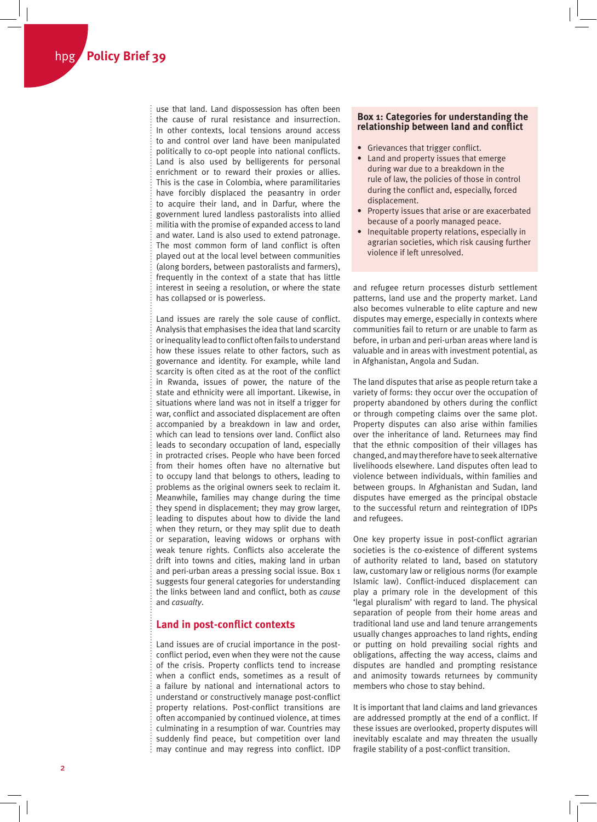use that land. Land dispossession has often been the cause of rural resistance and insurrection. In other contexts, local tensions around access to and control over land have been manipulated politically to co-opt people into national conflicts. Land is also used by belligerents for personal enrichment or to reward their proxies or allies. This is the case in Colombia, where paramilitaries have forcibly displaced the peasantry in order to acquire their land, and in Darfur, where the government lured landless pastoralists into allied militia with the promise of expanded access to land and water. Land is also used to extend patronage. The most common form of land conflict is often played out at the local level between communities (along borders, between pastoralists and farmers), frequently in the context of a state that has little interest in seeing a resolution, or where the state has collapsed or is powerless.

Land issues are rarely the sole cause of conflict. Analysis that emphasises the idea that land scarcity or inequality lead to conflict often fails to understand how these issues relate to other factors, such as governance and identity. For example, while land scarcity is often cited as at the root of the conflict in Rwanda, issues of power, the nature of the state and ethnicity were all important. Likewise, in situations where land was not in itself a trigger for war, conflict and associated displacement are often accompanied by a breakdown in law and order, which can lead to tensions over land. Conflict also leads to secondary occupation of land, especially in protracted crises. People who have been forced from their homes often have no alternative but to occupy land that belongs to others, leading to problems as the original owners seek to reclaim it. Meanwhile, families may change during the time they spend in displacement; they may grow larger, leading to disputes about how to divide the land when they return, or they may split due to death or separation, leaving widows or orphans with weak tenure rights. Conflicts also accelerate the drift into towns and cities, making land in urban and peri-urban areas a pressing social issue. Box 1 suggests four general categories for understanding the links between land and conflict, both as *cause* and *casualty*.

#### **Land in post-conflict contexts**

Land issues are of crucial importance in the postconflict period, even when they were not the cause of the crisis. Property conflicts tend to increase when a conflict ends, sometimes as a result of a failure by national and international actors to understand or constructively manage post-conflict property relations. Post-conflict transitions are often accompanied by continued violence, at times culminating in a resumption of war. Countries may suddenly find peace, but competition over land may continue and may regress into conflict. IDP

#### **Box 1: Categories for understanding the relationship between land and conflict**

- Grievances that trigger conflict.
- Land and property issues that emerge during war due to a breakdown in the rule of law, the policies of those in control during the conflict and, especially, forced displacement.
- Property issues that arise or are exacerbated because of a poorly managed peace.
- Inequitable property relations, especially in agrarian societies, which risk causing further violence if left unresolved.

and refugee return processes disturb settlement patterns, land use and the property market. Land also becomes vulnerable to elite capture and new disputes may emerge, especially in contexts where communities fail to return or are unable to farm as before, in urban and peri-urban areas where land is valuable and in areas with investment potential, as in Afghanistan, Angola and Sudan.

The land disputes that arise as people return take a variety of forms: they occur over the occupation of property abandoned by others during the conflict or through competing claims over the same plot. Property disputes can also arise within families over the inheritance of land. Returnees may find that the ethnic composition of their villages has changed, and may therefore have to seek alternative livelihoods elsewhere. Land disputes often lead to violence between individuals, within families and between groups. In Afghanistan and Sudan, land disputes have emerged as the principal obstacle to the successful return and reintegration of IDPs and refugees.

One key property issue in post-conflict agrarian societies is the co-existence of different systems of authority related to land, based on statutory law, customary law or religious norms (for example Islamic law). Conflict-induced displacement can play a primary role in the development of this 'legal pluralism' with regard to land. The physical separation of people from their home areas and traditional land use and land tenure arrangements usually changes approaches to land rights, ending or putting on hold prevailing social rights and obligations, affecting the way access, claims and disputes are handled and prompting resistance and animosity towards returnees by community members who chose to stay behind.

It is important that land claims and land grievances are addressed promptly at the end of a conflict. If these issues are overlooked, property disputes will inevitably escalate and may threaten the usually fragile stability of a post-conflict transition.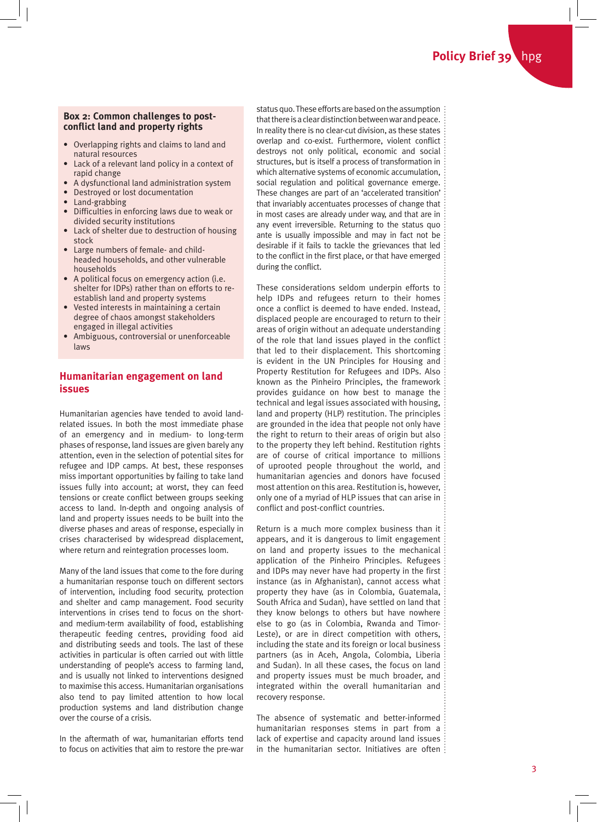#### **Box 2: Common challenges to postconflict land and property rights**

- Overlapping rights and claims to land and natural resources
- Lack of a relevant land policy in a context of rapid change
- A dysfunctional land administration system
- Destroyed or lost documentation
- Land-grabbing
- Difficulties in enforcing laws due to weak or divided security institutions
- Lack of shelter due to destruction of housing stock
- Large numbers of female- and childheaded households, and other vulnerable households
- A political focus on emergency action (i.e. shelter for IDPs) rather than on efforts to reestablish land and property systems
- Vested interests in maintaining a certain degree of chaos amongst stakeholders engaged in illegal activities
- Ambiguous, controversial or unenforceable laws

### **Humanitarian engagement on land issues**

Humanitarian agencies have tended to avoid landrelated issues. In both the most immediate phase of an emergency and in medium- to long-term phases of response, land issues are given barely any attention, even in the selection of potential sites for refugee and IDP camps. At best, these responses miss important opportunities by failing to take land issues fully into account; at worst, they can feed tensions or create conflict between groups seeking access to land. In-depth and ongoing analysis of land and property issues needs to be built into the diverse phases and areas of response, especially in crises characterised by widespread displacement, where return and reintegration processes loom.

Many of the land issues that come to the fore during a humanitarian response touch on different sectors of intervention, including food security, protection and shelter and camp management. Food security interventions in crises tend to focus on the shortand medium-term availability of food, establishing therapeutic feeding centres, providing food aid and distributing seeds and tools. The last of these activities in particular is often carried out with little understanding of people's access to farming land, and is usually not linked to interventions designed to maximise this access. Humanitarian organisations also tend to pay limited attention to how local production systems and land distribution change over the course of a crisis.

In the aftermath of war, humanitarian efforts tend to focus on activities that aim to restore the pre-war status quo. These efforts are based on the assumption that there is a clear distinction between war and peace. In reality there is no clear-cut division, as these states overlap and co-exist. Furthermore, violent conflict destroys not only political, economic and social structures, but is itself a process of transformation in which alternative systems of economic accumulation, social regulation and political governance emerge. These changes are part of an 'accelerated transition' that invariably accentuates processes of change that in most cases are already under way, and that are in any event irreversible. Returning to the status quo ante is usually impossible and may in fact not be desirable if it fails to tackle the grievances that led to the conflict in the first place, or that have emerged during the conflict.

These considerations seldom underpin efforts to help IDPs and refugees return to their homes once a conflict is deemed to have ended. Instead, displaced people are encouraged to return to their areas of origin without an adequate understanding of the role that land issues played in the conflict that led to their displacement. This shortcoming is evident in the UN Principles for Housing and Property Restitution for Refugees and IDPs. Also known as the Pinheiro Principles, the framework provides guidance on how best to manage the technical and legal issues associated with housing, land and property (HLP) restitution. The principles are grounded in the idea that people not only have the right to return to their areas of origin but also to the property they left behind. Restitution rights are of course of critical importance to millions of uprooted people throughout the world, and humanitarian agencies and donors have focused most attention on this area. Restitution is, however, only one of a myriad of HLP issues that can arise in conflict and post-conflict countries.

Return is a much more complex business than it appears, and it is dangerous to limit engagement on land and property issues to the mechanical application of the Pinheiro Principles. Refugees and IDPs may never have had property in the first instance (as in Afghanistan), cannot access what property they have (as in Colombia, Guatemala, South Africa and Sudan), have settled on land that they know belongs to others but have nowhere else to go (as in Colombia, Rwanda and Timor-Leste), or are in direct competition with others, including the state and its foreign or local business partners (as in Aceh, Angola, Colombia, Liberia and Sudan). In all these cases, the focus on land and property issues must be much broader, and integrated within the overall humanitarian and recovery response.

The absence of systematic and better-informed humanitarian responses stems in part from a lack of expertise and capacity around land issues in the humanitarian sector. Initiatives are often  $\vdots$